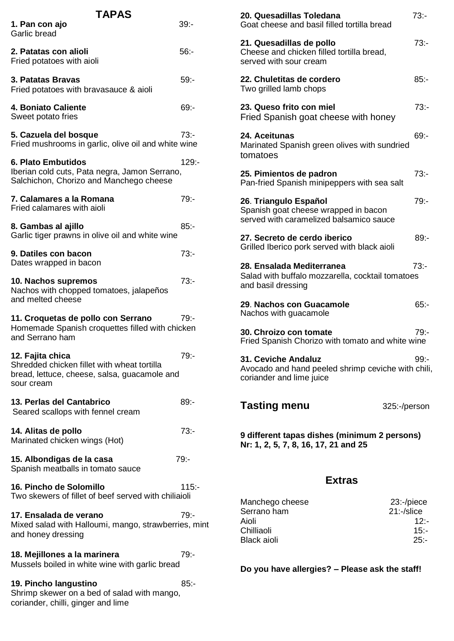| TAPAS                                                                                                                         |          |  |  |
|-------------------------------------------------------------------------------------------------------------------------------|----------|--|--|
| 1. Pan con ajo<br>Garlic bread                                                                                                | $39: -$  |  |  |
| 2. Patatas con alioli<br>Fried potatoes with aioli                                                                            | $56: -$  |  |  |
| 3. Patatas Bravas<br>Fried potatoes with bravasauce & aioli                                                                   | $59: -$  |  |  |
| 4. Boniato Caliente<br>Sweet potato fries                                                                                     | 69:-     |  |  |
| 5. Cazuela del bosque<br>Fried mushrooms in garlic, olive oil and white wine                                                  | $73: -$  |  |  |
| 6. Plato Embutidos<br>Iberian cold cuts, Pata negra, Jamon Serrano,<br>Salchichon, Chorizo and Manchego cheese                | $129: -$ |  |  |
| 7. Calamares a la Romana<br>Fried calamares with aioli                                                                        | $79: -$  |  |  |
| 8. Gambas al ajillo<br>Garlic tiger prawns in olive oil and white wine                                                        | $85: -$  |  |  |
| 9. Datiles con bacon<br>Dates wrapped in bacon                                                                                | $73: -$  |  |  |
| 10. Nachos supremos<br>Nachos with chopped tomatoes, jalapeños<br>and melted cheese                                           | $73: -$  |  |  |
| 11. Croquetas de pollo con Serrano<br>Homemade Spanish croquettes filled with chicken<br>and Serrano ham                      | 79:-     |  |  |
| 12. Fajita chica<br>Shredded chicken fillet with wheat tortilla<br>bread, lettuce, cheese, salsa, guacamole and<br>sour cream | $79: -$  |  |  |
| 13. Perlas del Cantabrico<br>Seared scallops with fennel cream                                                                | 89:-     |  |  |
| 14. Alitas de pollo<br>Marinated chicken wings (Hot)                                                                          | 73:      |  |  |
| 15. Albondigas de la casa<br>Spanish meatballs in tomato sauce                                                                | $79: -$  |  |  |
| 16. Pincho de Solomillo<br>Two skewers of fillet of beef served with chiliaioli                                               | $115 -$  |  |  |
| 17. Ensalada de verano<br>Mixed salad with Halloumi, mango, strawberries, mint<br>and honey dressing                          | $79: -$  |  |  |
| 18. Mejillones a la marinera<br>Mussels boiled in white wine with garlic bread                                                | $79: -$  |  |  |
| 19. Pincho langustino<br>Shrimp skewer on a bed of salad with mango,<br>coriander, chilli, ginger and lime                    | 85:      |  |  |

| 20. Quesadillas Toledana<br>Goat cheese and basil filled tortilla bread                                  | $73: -$      |  |  |
|----------------------------------------------------------------------------------------------------------|--------------|--|--|
| 21. Quesadillas de pollo<br>Cheese and chicken filled tortilla bread,<br>served with sour cream          | $73: -$      |  |  |
| 22. Chuletitas de cordero<br>Two grilled lamb chops                                                      | 85:-         |  |  |
| 23. Queso frito con miel<br>Fried Spanish goat cheese with honey                                         | $73: -$      |  |  |
| 24. Aceitunas<br>Marinated Spanish green olives with sundried<br>tomatoes                                | 69:          |  |  |
| 25. Pimientos de padron<br>Pan-fried Spanish minipeppers with sea salt                                   | $73: -$      |  |  |
| 26. Triangulo Español<br>Spanish goat cheese wrapped in bacon<br>served with caramelized balsamico sauce | $79. -$      |  |  |
| 27. Secreto de cerdo iberico<br>Grilled Iberico pork served with black aioli                             | 89:-         |  |  |
| 28. Ensalada Mediterranea<br>Salad with buffalo mozzarella, cocktail tomatoes<br>and basil dressing      | $73: -$      |  |  |
| 29. Nachos con Guacamole<br>Nachos with guacamole                                                        | $65: -$      |  |  |
| 30. Chroizo con tomate<br>Fried Spanish Chorizo with tomato and white wine                               | $79: -$      |  |  |
| 31. Ceviche Andaluz<br>Avocado and hand peeled shrimp ceviche with chili,<br>coriander and lime juice    | 99:-         |  |  |
| <b>Tasting menu</b>                                                                                      | 325:-/person |  |  |
| 9 different tapas dishes (minimum 2 persons)<br>Nr: 1, 2, 5, 7, 8, 16, 17, 21 and 25                     |              |  |  |
| <b>Extras</b>                                                                                            |              |  |  |
|                                                                                                          |              |  |  |

| Manchego cheese    | $23$ :- $/$ piece |
|--------------------|-------------------|
| Serrano ham        | $21:$ -/slice     |
| Aioli              | $12 -$            |
| Chilliaoli         | $15 -$            |
| <b>Black aioli</b> | 25:               |
|                    |                   |

**Do you have allergies? – Please ask the staff!**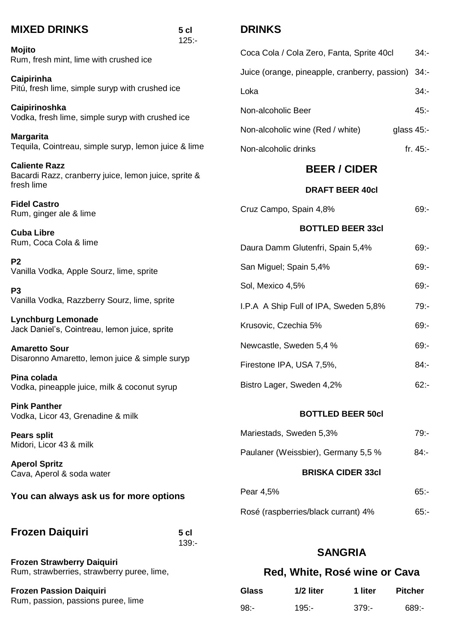| <b>MIXED DRINKS</b>                                                                        | 5 <sub>cl</sub><br>$125: -$ | <b>DRINKS</b>                         |                                               |                          |                |
|--------------------------------------------------------------------------------------------|-----------------------------|---------------------------------------|-----------------------------------------------|--------------------------|----------------|
| <b>Mojito</b><br>Rum, fresh mint, lime with crushed ice                                    |                             |                                       | Coca Cola / Cola Zero, Fanta, Sprite 40cl     |                          | $34 -$         |
| Caipirinha                                                                                 |                             |                                       | Juice (orange, pineapple, cranberry, passion) |                          | $34: -$        |
| Pitú, fresh lime, simple suryp with crushed ice                                            |                             | Loka                                  |                                               |                          | $34 -$         |
| Caipirinoshka<br>Vodka, fresh lime, simple suryp with crushed ice                          |                             | Non-alcoholic Beer                    |                                               |                          | $45: -$        |
| <b>Margarita</b>                                                                           |                             |                                       | Non-alcoholic wine (Red / white)              |                          | glass 45:-     |
| Tequila, Cointreau, simple suryp, lemon juice & lime                                       |                             | Non-alcoholic drinks                  |                                               |                          | fr. $45:$      |
| <b>Caliente Razz</b><br>Bacardi Razz, cranberry juice, lemon juice, sprite &<br>fresh lime |                             |                                       | <b>BEER / CIDER</b>                           |                          |                |
|                                                                                            |                             | <b>DRAFT BEER 40cl</b>                |                                               |                          |                |
| <b>Fidel Castro</b><br>Rum, ginger ale & lime                                              |                             |                                       | Cruz Campo, Spain 4,8%                        |                          | $69 -$         |
| <b>Cuba Libre</b>                                                                          |                             |                                       | <b>BOTTLED BEER 33cl</b>                      |                          |                |
| Rum, Coca Cola & lime                                                                      |                             |                                       | Daura Damm Glutenfri, Spain 5,4%              |                          | $69: -$        |
| P <sub>2</sub><br>Vanilla Vodka, Apple Sourz, lime, sprite                                 |                             |                                       | San Miguel; Spain 5,4%                        |                          | $69: -$        |
| P <sub>3</sub>                                                                             |                             | Sol, Mexico 4,5%                      |                                               | $69: -$                  |                |
| Vanilla Vodka, Razzberry Sourz, lime, sprite                                               |                             | I.P.A A Ship Full of IPA, Sweden 5,8% |                                               | $79: -$                  |                |
| <b>Lynchburg Lemonade</b><br>Jack Daniel's, Cointreau, lemon juice, sprite                 |                             |                                       | Krusovic, Czechia 5%                          |                          | $69: -$        |
| <b>Amaretto Sour</b>                                                                       |                             | Newcastle, Sweden 5,4 %               |                                               | $69: -$                  |                |
| Disaronno Amaretto, lemon juice & simple suryp                                             |                             | Firestone IPA, USA 7,5%,              |                                               | 84:                      |                |
| Pina colada<br>Vodka, pineapple juice, milk & coconut syrup                                |                             |                                       | Bistro Lager, Sweden 4,2%                     |                          | $62: -$        |
| <b>Pink Panther</b><br>Vodka, Licor 43, Grenadine & milk                                   |                             |                                       |                                               | <b>BOTTLED BEER 50cl</b> |                |
| <b>Pears split</b>                                                                         |                             |                                       | Mariestads, Sweden 5,3%                       |                          | $79: -$        |
| Midori, Licor 43 & milk                                                                    |                             | Paulaner (Weissbier), Germany 5,5 %   |                                               | $84: -$                  |                |
| <b>Aperol Spritz</b><br>Cava, Aperol & soda water                                          |                             | <b>BRISKA CIDER 33cl</b>              |                                               |                          |                |
| You can always ask us for more options                                                     |                             | Pear 4,5%                             |                                               | $65: -$                  |                |
|                                                                                            |                             |                                       | Rosé (raspberries/black currant) 4%           |                          | 65:            |
| <b>Frozen Daiquiri</b>                                                                     | 5 <sub>cl</sub>             |                                       |                                               |                          |                |
|                                                                                            | $139: -$                    |                                       |                                               | <b>SANGRIA</b>           |                |
| <b>Frozen Strawberry Daiquiri</b><br>Rum, strawberries, strawberry puree, lime,            |                             | Red, White, Rosé wine or Cava         |                                               |                          |                |
| <b>Frozen Passion Daiquiri</b>                                                             |                             | <b>Glass</b>                          | 1/2 liter                                     | 1 liter                  | <b>Pitcher</b> |
| Rum, passion, passions puree, lime                                                         |                             | $98: -$                               | $195: -$                                      | $379: -$                 | $689: -$       |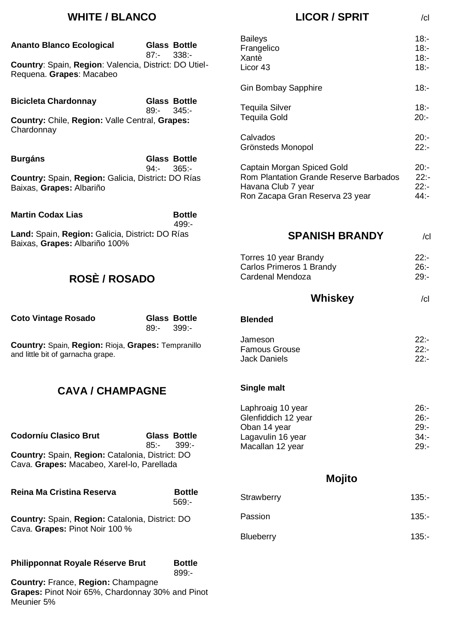## **WHITE / BLANCO**

| <b>Ananto Blanco Ecological</b>                                                   | <b>Glass Bottle</b><br>$338: -$<br>$87 -$  | <b>Baileys</b><br>Frangelico                                                                           | $18 -$<br>$18: -$             |
|-----------------------------------------------------------------------------------|--------------------------------------------|--------------------------------------------------------------------------------------------------------|-------------------------------|
| Country: Spain, Region: Valencia, District: DO Utiel-<br>Requena. Grapes: Macabeo |                                            | Xantè<br>Licor 43                                                                                      | $18 -$<br>$18: -$             |
|                                                                                   |                                            | <b>Gin Bombay Sapphire</b>                                                                             | $18: -$                       |
| <b>Bicicleta Chardonnay</b>                                                       | <b>Glass Bottle</b>                        | <b>Tequila Silver</b>                                                                                  | $18: -$                       |
| Country: Chile, Region: Valle Central, Grapes:<br>Chardonnay                      | $89: -$<br>345:                            | <b>Tequila Gold</b>                                                                                    | $20: -$                       |
|                                                                                   |                                            | Calvados<br>Grönsteds Monopol                                                                          | $20: -$<br>$22: -$            |
| <b>Burgáns</b>                                                                    | <b>Glass Bottle</b><br>$94: -$<br>$365: -$ | Captain Morgan Spiced Gold                                                                             | $20: -$                       |
| Country: Spain, Region: Galicia, District: DO Rías<br>Baixas, Grapes: Albariño    |                                            | <b>Rom Plantation Grande Reserve Barbados</b><br>Havana Club 7 year<br>Ron Zacapa Gran Reserva 23 year | $22: -$<br>$22: -$<br>$44: -$ |
| <b>Martin Codax Lias</b>                                                          | <b>Bottle</b><br>$499 -$                   |                                                                                                        |                               |
| Land: Spain, Region: Galicia, District: DO Rías<br>Baixas, Grapes: Albariño 100%  |                                            | <b>SPANISH BRANDY</b>                                                                                  | c                             |
|                                                                                   |                                            | Torres 10 year Brandy                                                                                  | $22: -$                       |
| <b>ROSÈ / ROSADO</b>                                                              |                                            | <b>Carlos Primeros 1 Brandy</b><br>Cardenal Mendoza                                                    | $26: -$<br>$29 -$             |
|                                                                                   |                                            | Whiskey                                                                                                |                               |
|                                                                                   |                                            |                                                                                                        | c                             |
| <b>Coto Vintage Rosado</b>                                                        | <b>Glass Bottle</b><br>$89: -$<br>$399: -$ | <b>Blended</b>                                                                                         |                               |
| Country: Spain, Region: Rioja, Grapes: Tempranillo                                |                                            | Jameson                                                                                                | $22: -$                       |
|                                                                                   |                                            |                                                                                                        |                               |
| and little bit of garnacha grape.                                                 |                                            | <b>Famous Grouse</b><br><b>Jack Daniels</b>                                                            | 22:<br>$22: -$                |
| <b>CAVA / CHAMPAGNE</b>                                                           |                                            | Single malt                                                                                            |                               |
|                                                                                   |                                            | Laphroaig 10 year                                                                                      | $26: -$                       |
|                                                                                   |                                            | Glenfiddich 12 year                                                                                    | 26:                           |
|                                                                                   |                                            | Oban 14 year                                                                                           | $29 -$                        |
| <b>Codorníu Clasico Brut</b>                                                      | <b>Glass Bottle</b><br>$399: -$<br>$85: -$ | Lagavulin 16 year<br>Macallan 12 year                                                                  | 34:<br>$29: -$                |
| Country: Spain, Region: Catalonia, District: DO                                   |                                            |                                                                                                        |                               |
| Cava. Grapes: Macabeo, Xarel-lo, Parellada                                        |                                            | Mojito                                                                                                 |                               |
| Reina Ma Cristina Reserva                                                         | <b>Bottle</b>                              |                                                                                                        |                               |
|                                                                                   | $569: -$                                   | Strawberry                                                                                             | $135: -$                      |
| Country: Spain, Region: Catalonia, District: DO<br>Cava. Grapes: Pinot Noir 100 % |                                            | Passion                                                                                                | $135 -$                       |
|                                                                                   |                                            | <b>Blueberry</b>                                                                                       | $135: -$                      |

**LICOR / SPRIT** /cl

**Country:** France, **Region:** Champagne **Grapes:** Pinot Noir 65%, Chardonnay 30% and Pinot Meunier 5%

899:-